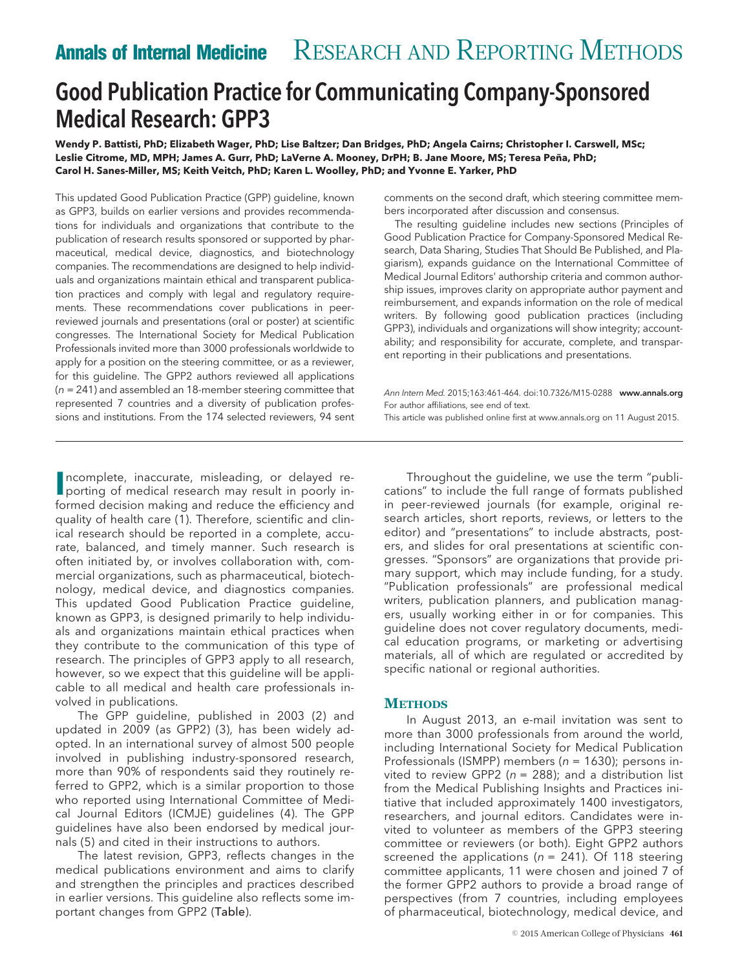# Good Publication Practice for Communicating Company-Sponsored Medical Research: GPP3

**Wendy P. Battisti, PhD; Elizabeth Wager, PhD; Lise Baltzer; Dan Bridges, PhD; Angela Cairns; Christopher I. Carswell, MSc;** Leslie Citrome, MD, MPH; James A. Gurr, PhD; LaVerne A. Mooney, DrPH; B. Jane Moore, MS; Teresa Peña, PhD; **Carol H. Sanes-Miller, MS; Keith Veitch, PhD; Karen L. Woolley, PhD; and Yvonne E. Yarker, PhD**

This updated Good Publication Practice (GPP) guideline, known as GPP3, builds on earlier versions and provides recommendations for individuals and organizations that contribute to the publication of research results sponsored or supported by pharmaceutical, medical device, diagnostics, and biotechnology companies. The recommendations are designed to help individuals and organizations maintain ethical and transparent publication practices and comply with legal and regulatory requirements. These recommendations cover publications in peerreviewed journals and presentations (oral or poster) at scientific congresses. The International Society for Medical Publication Professionals invited more than 3000 professionals worldwide to apply for a position on the steering committee, or as a reviewer, for this guideline. The GPP2 authors reviewed all applications  $(n = 241)$  and assembled an 18-member steering committee that represented 7 countries and a diversity of publication professions and institutions. From the 174 selected reviewers, 94 sent comments on the second draft, which steering committee members incorporated after discussion and consensus.

The resulting guideline includes new sections (Principles of Good Publication Practice for Company-Sponsored Medical Research, Data Sharing, Studies That Should Be Published, and Plagiarism), expands guidance on the International Committee of Medical Journal Editors' authorship criteria and common authorship issues, improves clarity on appropriate author payment and reimbursement, and expands information on the role of medical writers. By following good publication practices (including GPP3), individuals and organizations will show integrity; accountability; and responsibility for accurate, complete, and transparent reporting in their publications and presentations.

Ann Intern Med. 2015;163:461-464. doi:10.7326/M15-0288 www.annals.org For author affiliations, see end of text. This article was published online first at [www.annals.org](http://www.annals.org) on 11 August 2015.

Incomplete, inaccurate, misleading, or delayed reporting of medical research may result in poorly informed decision making and reduce the efficiency and ncomplete, inaccurate, misleading, or delayed reporting of medical research may result in poorly inquality of health care (1). Therefore, scientific and clinical research should be reported in a complete, accurate, balanced, and timely manner. Such research is often initiated by, or involves collaboration with, commercial organizations, such as pharmaceutical, biotechnology, medical device, and diagnostics companies. This updated Good Publication Practice guideline, known as GPP3, is designed primarily to help individuals and organizations maintain ethical practices when they contribute to the communication of this type of research. The principles of GPP3 apply to all research, however, so we expect that this guideline will be applicable to all medical and health care professionals involved in publications.

The GPP guideline, published in 2003 (2) and updated in 2009 (as GPP2) (3), has been widely adopted. In an international survey of almost 500 people involved in publishing industry-sponsored research, more than 90% of respondents said they routinely referred to GPP2, which is a similar proportion to those who reported using International Committee of Medical Journal Editors (ICMJE) guidelines (4). The GPP guidelines have also been endorsed by medical journals (5) and cited in their instructions to authors.

The latest revision, GPP3, reflects changes in the medical publications environment and aims to clarify and strengthen the principles and practices described in earlier versions. This guideline also reflects some important changes from GPP2 (Table).

Throughout the guideline, we use the term "publications" to include the full range of formats published in peer-reviewed journals (for example, original research articles, short reports, reviews, or letters to the editor) and "presentations" to include abstracts, posters, and slides for oral presentations at scientific congresses. "Sponsors" are organizations that provide primary support, which may include funding, for a study. "Publication professionals" are professional medical writers, publication planners, and publication managers, usually working either in or for companies. This guideline does not cover regulatory documents, medical education programs, or marketing or advertising materials, all of which are regulated or accredited by specific national or regional authorities.

#### **METHODS**

In August 2013, an e-mail invitation was sent to more than 3000 professionals from around the world, including International Society for Medical Publication Professionals (ISMPP) members ( $n = 1630$ ); persons invited to review GPP2 ( $n = 288$ ); and a distribution list from the Medical Publishing Insights and Practices initiative that included approximately 1400 investigators, researchers, and journal editors. Candidates were invited to volunteer as members of the GPP3 steering committee or reviewers (or both). Eight GPP2 authors screened the applications ( $n = 241$ ). Of 118 steering committee applicants, 11 were chosen and joined 7 of the former GPP2 authors to provide a broad range of perspectives (from 7 countries, including employees of pharmaceutical, biotechnology, medical device, and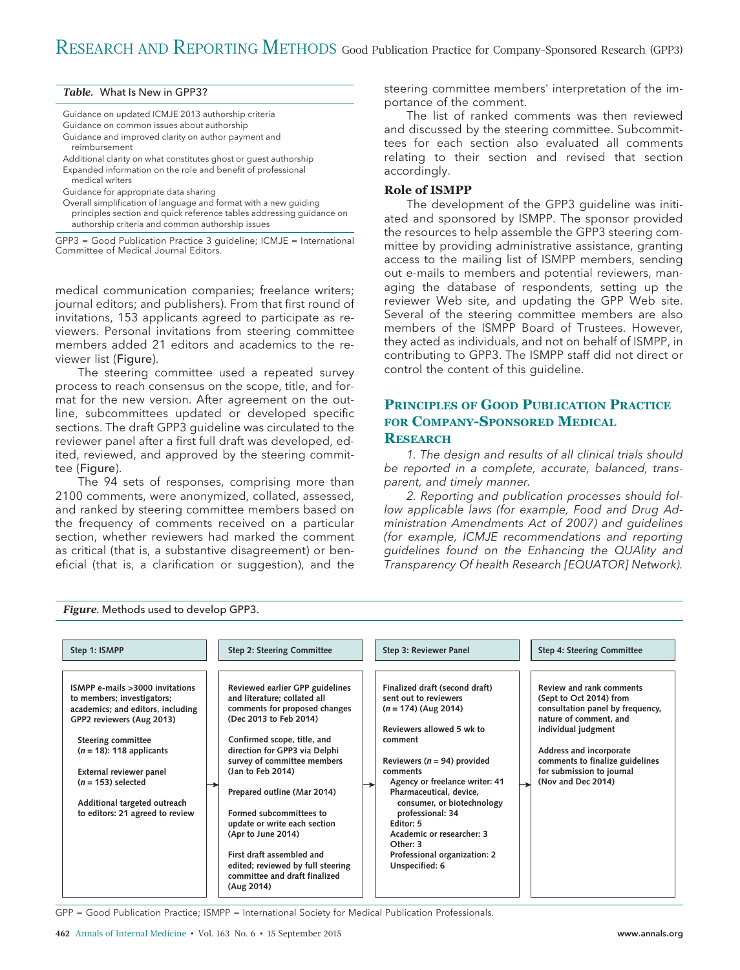| Table. What Is New in GPP3?                                                                                                                                                                                                                                                                                  | steerin<br>portano                               |
|--------------------------------------------------------------------------------------------------------------------------------------------------------------------------------------------------------------------------------------------------------------------------------------------------------------|--------------------------------------------------|
| Guidance on updated ICMJE 2013 authorship criteria<br>Guidance on common issues about authorship<br>Guidance and improved clarity on author payment and<br>reimbursement<br>Additional clarity on what constitutes ghost or quest authorship<br>Expanded information on the role and benefit of professional | The<br>and dis<br>tees fc<br>relatinc<br>accordi |
| medical writers<br>Guidance for appropriate data sharing<br>Overall simplification of language and format with a new guiding<br>principles section and quick reference tables addressing quidance on<br>authorship criteria and common authorship issues                                                     | Role o<br>The<br>ated ar                         |

GPP3 = Good Publication Practice 3 guideline; ICMJE = International Committee of Medical Journal Editors.

medical communication companies; freelance writers; journal editors; and publishers). From that first round of invitations, 153 applicants agreed to participate as reviewers. Personal invitations from steering committee members added 21 editors and academics to the reviewer list (Figure).

The steering committee used a repeated survey process to reach consensus on the scope, title, and format for the new version. After agreement on the outline, subcommittees updated or developed specific sections. The draft GPP3 guideline was circulated to the reviewer panel after a first full draft was developed, edited, reviewed, and approved by the steering committee (Figure).

The 94 sets of responses, comprising more than 2100 comments, were anonymized, collated, assessed, and ranked by steering committee members based on the frequency of comments received on a particular section, whether reviewers had marked the comment as critical (that is, a substantive disagreement) or beneficial (that is, a clarification or suggestion), and the

steering committee members' interpretation of the imce of the comment.

e list of ranked comments was then reviewed cussed by the steering committee. Subcommitr each section also evaluated all comments to their section and revised that section inalv.

#### **Role of ISMPP**

e development of the GPP3 guideline was initiand sponsored by ISMPP. The sponsor provided the resources to help assemble the GPP3 steering committee by providing administrative assistance, granting access to the mailing list of ISMPP members, sending out e-mails to members and potential reviewers, managing the database of respondents, setting up the reviewer Web site, and updating the GPP Web site. Several of the steering committee members are also members of the ISMPP Board of Trustees. However, they acted as individuals, and not on behalf of ISMPP, in contributing to GPP3. The ISMPP staff did not direct or control the content of this guideline.

## **PRINCIPLES OF GOOD PUBLICATION PRACTICE FOR COMPANY-SPONSORED MEDICAL RESEARCH**

1. The design and results of all clinical trials should be reported in a complete, accurate, balanced, transparent, and timely manner.

2. Reporting and publication processes should follow applicable laws (for example, Food and Drug Administration Amendments Act of 2007) and guidelines (for example, ICMJE recommendations and reporting guidelines found on the Enhancing the QUAlity and Transparency Of health Research [EQUATOR] Network).

| Step 1: ISMPP<br>Step 2: Steering Committee<br>Step 3: Reviewer Panel<br>Finalized draft (second draft)<br>Review and rank comments<br>Reviewed earlier GPP guidelines<br>ISMPP e-mails >3000 invitations<br>and literature: collated all<br>sent out to reviewers<br>(Sept to Oct 2014) from<br>to members; investigators;<br>consultation panel by frequency,<br>comments for proposed changes<br>academics; and editors, including<br>$(n = 174)$ (Aug 2014)<br>nature of comment, and<br>(Dec 2013 to Feb 2014)<br>GPP2 reviewers (Aug 2013)<br>Reviewers allowed 5 wk to<br>individual judgment<br>Confirmed scope, title, and<br><b>Steering committee</b><br>comment<br>direction for GPP3 via Delphi<br>$(n = 18)$ : 118 applicants<br>Address and incorporate<br>survey of committee members<br>comments to finalize guidelines<br>Reviewers ( $n = 94$ ) provided<br>(Jan to Feb 2014)<br>for submission to journal<br>comments<br>External reviewer panel<br>Agency or freelance writer: 41<br>(Nov and Dec 2014)<br>$(n = 153)$ selected<br>Prepared outline (Mar 2014)<br>Pharmaceutical, device,<br>Additional targeted outreach<br>consumer, or biotechnology<br>Formed subcommittees to<br>professional: 34<br>to editors: 21 agreed to review<br>update or write each section<br>Editor: 5<br>(Apr to June 2014)<br>Academic or researcher: 3<br>Other: 3<br>First draft assembled and<br>Professional organization: 2 | Step 4: Steering Committee |
|-----------------------------------------------------------------------------------------------------------------------------------------------------------------------------------------------------------------------------------------------------------------------------------------------------------------------------------------------------------------------------------------------------------------------------------------------------------------------------------------------------------------------------------------------------------------------------------------------------------------------------------------------------------------------------------------------------------------------------------------------------------------------------------------------------------------------------------------------------------------------------------------------------------------------------------------------------------------------------------------------------------------------------------------------------------------------------------------------------------------------------------------------------------------------------------------------------------------------------------------------------------------------------------------------------------------------------------------------------------------------------------------------------------------------------------------|----------------------------|
|                                                                                                                                                                                                                                                                                                                                                                                                                                                                                                                                                                                                                                                                                                                                                                                                                                                                                                                                                                                                                                                                                                                                                                                                                                                                                                                                                                                                                                         |                            |
|                                                                                                                                                                                                                                                                                                                                                                                                                                                                                                                                                                                                                                                                                                                                                                                                                                                                                                                                                                                                                                                                                                                                                                                                                                                                                                                                                                                                                                         |                            |
|                                                                                                                                                                                                                                                                                                                                                                                                                                                                                                                                                                                                                                                                                                                                                                                                                                                                                                                                                                                                                                                                                                                                                                                                                                                                                                                                                                                                                                         |                            |
|                                                                                                                                                                                                                                                                                                                                                                                                                                                                                                                                                                                                                                                                                                                                                                                                                                                                                                                                                                                                                                                                                                                                                                                                                                                                                                                                                                                                                                         |                            |
|                                                                                                                                                                                                                                                                                                                                                                                                                                                                                                                                                                                                                                                                                                                                                                                                                                                                                                                                                                                                                                                                                                                                                                                                                                                                                                                                                                                                                                         |                            |
|                                                                                                                                                                                                                                                                                                                                                                                                                                                                                                                                                                                                                                                                                                                                                                                                                                                                                                                                                                                                                                                                                                                                                                                                                                                                                                                                                                                                                                         |                            |
|                                                                                                                                                                                                                                                                                                                                                                                                                                                                                                                                                                                                                                                                                                                                                                                                                                                                                                                                                                                                                                                                                                                                                                                                                                                                                                                                                                                                                                         |                            |
|                                                                                                                                                                                                                                                                                                                                                                                                                                                                                                                                                                                                                                                                                                                                                                                                                                                                                                                                                                                                                                                                                                                                                                                                                                                                                                                                                                                                                                         |                            |
|                                                                                                                                                                                                                                                                                                                                                                                                                                                                                                                                                                                                                                                                                                                                                                                                                                                                                                                                                                                                                                                                                                                                                                                                                                                                                                                                                                                                                                         |                            |
|                                                                                                                                                                                                                                                                                                                                                                                                                                                                                                                                                                                                                                                                                                                                                                                                                                                                                                                                                                                                                                                                                                                                                                                                                                                                                                                                                                                                                                         |                            |
|                                                                                                                                                                                                                                                                                                                                                                                                                                                                                                                                                                                                                                                                                                                                                                                                                                                                                                                                                                                                                                                                                                                                                                                                                                                                                                                                                                                                                                         |                            |
|                                                                                                                                                                                                                                                                                                                                                                                                                                                                                                                                                                                                                                                                                                                                                                                                                                                                                                                                                                                                                                                                                                                                                                                                                                                                                                                                                                                                                                         |                            |
|                                                                                                                                                                                                                                                                                                                                                                                                                                                                                                                                                                                                                                                                                                                                                                                                                                                                                                                                                                                                                                                                                                                                                                                                                                                                                                                                                                                                                                         |                            |
|                                                                                                                                                                                                                                                                                                                                                                                                                                                                                                                                                                                                                                                                                                                                                                                                                                                                                                                                                                                                                                                                                                                                                                                                                                                                                                                                                                                                                                         |                            |
|                                                                                                                                                                                                                                                                                                                                                                                                                                                                                                                                                                                                                                                                                                                                                                                                                                                                                                                                                                                                                                                                                                                                                                                                                                                                                                                                                                                                                                         |                            |
|                                                                                                                                                                                                                                                                                                                                                                                                                                                                                                                                                                                                                                                                                                                                                                                                                                                                                                                                                                                                                                                                                                                                                                                                                                                                                                                                                                                                                                         |                            |
|                                                                                                                                                                                                                                                                                                                                                                                                                                                                                                                                                                                                                                                                                                                                                                                                                                                                                                                                                                                                                                                                                                                                                                                                                                                                                                                                                                                                                                         |                            |
|                                                                                                                                                                                                                                                                                                                                                                                                                                                                                                                                                                                                                                                                                                                                                                                                                                                                                                                                                                                                                                                                                                                                                                                                                                                                                                                                                                                                                                         |                            |
| edited; reviewed by full steering<br>Unspecified: 6                                                                                                                                                                                                                                                                                                                                                                                                                                                                                                                                                                                                                                                                                                                                                                                                                                                                                                                                                                                                                                                                                                                                                                                                                                                                                                                                                                                     |                            |
| committee and draft finalized<br>(Aug 2014)                                                                                                                                                                                                                                                                                                                                                                                                                                                                                                                                                                                                                                                                                                                                                                                                                                                                                                                                                                                                                                                                                                                                                                                                                                                                                                                                                                                             |                            |

GPP = Good Publication Practice; ISMPP = International Society for Medical Publication Professionals.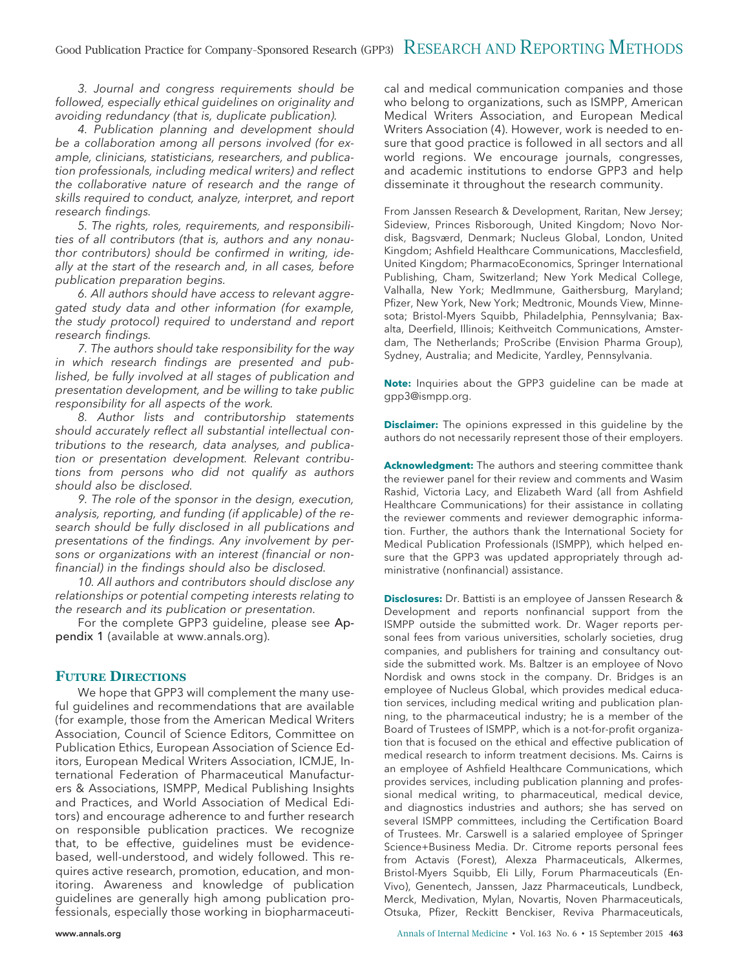3. Journal and congress requirements should be followed, especially ethical guidelines on originality and avoiding redundancy (that is, duplicate publication).

4. Publication planning and development should be a collaboration among all persons involved (for example, clinicians, statisticians, researchers, and publication professionals, including medical writers) and reflect the collaborative nature of research and the range of skills required to conduct, analyze, interpret, and report research findings.

5. The rights, roles, requirements, and responsibilities of all contributors (that is, authors and any nonauthor contributors) should be confirmed in writing, ideally at the start of the research and, in all cases, before publication preparation begins.

6. All authors should have access to relevant aggregated study data and other information (for example, the study protocol) required to understand and report research findings.

7. The authors should take responsibility for the way in which research findings are presented and published, be fully involved at all stages of publication and presentation development, and be willing to take public responsibility for all aspects of the work.

8. Author lists and contributorship statements should accurately reflect all substantial intellectual contributions to the research, data analyses, and publication or presentation development. Relevant contributions from persons who did not qualify as authors should also be disclosed.

9. The role of the sponsor in the design, execution, analysis, reporting, and funding (if applicable) of the research should be fully disclosed in all publications and presentations of the findings. Any involvement by persons or organizations with an interest (financial or nonfinancial) in the findings should also be disclosed.

10. All authors and contributors should disclose any relationships or potential competing interests relating to the research and its publication or presentation.

For the complete GPP3 guideline, please see Appendix 1 (available at [www.annals.org\)](http://www.annals.org).

## **FUTURE DIRECTIONS**

We hope that GPP3 will complement the many useful guidelines and recommendations that are available (for example, those from the American Medical Writers Association, Council of Science Editors, Committee on Publication Ethics, European Association of Science Editors, European Medical Writers Association, ICMJE, International Federation of Pharmaceutical Manufacturers & Associations, ISMPP, Medical Publishing Insights and Practices, and World Association of Medical Editors) and encourage adherence to and further research on responsible publication practices. We recognize that, to be effective, guidelines must be evidencebased, well-understood, and widely followed. This requires active research, promotion, education, and monitoring. Awareness and knowledge of publication guidelines are generally high among publication professionals, especially those working in biopharmaceuti-

cal and medical communication companies and those who belong to organizations, such as ISMPP, American Medical Writers Association, and European Medical Writers Association (4). However, work is needed to ensure that good practice is followed in all sectors and all world regions. We encourage journals, congresses, and academic institutions to endorse GPP3 and help disseminate it throughout the research community.

From Janssen Research & Development, Raritan, New Jersey; Sideview, Princes Risborough, United Kingdom; Novo Nordisk, Bagsværd, Denmark; Nucleus Global, London, United Kingdom; Ashfield Healthcare Communications, Macclesfield, United Kingdom; PharmacoEconomics, Springer International Publishing, Cham, Switzerland; New York Medical College, Valhalla, New York; MedImmune, Gaithersburg, Maryland; Pfizer, New York, New York; Medtronic, Mounds View, Minnesota; Bristol-Myers Squibb, Philadelphia, Pennsylvania; Baxalta, Deerfield, Illinois; Keithveitch Communications, Amsterdam, The Netherlands; ProScribe (Envision Pharma Group), Sydney, Australia; and Medicite, Yardley, Pennsylvania.

**Note:** Inquiries about the GPP3 guideline can be made at [gpp3@ismpp.org.](mailto:gpp3@ismpp.org)

**Disclaimer:** The opinions expressed in this guideline by the authors do not necessarily represent those of their employers.

**Acknowledgment:** The authors and steering committee thank the reviewer panel for their review and comments and Wasim Rashid, Victoria Lacy, and Elizabeth Ward (all from Ashfield Healthcare Communications) for their assistance in collating the reviewer comments and reviewer demographic information. Further, the authors thank the International Society for Medical Publication Professionals (ISMPP), which helped ensure that the GPP3 was updated appropriately through administrative (nonfinancial) assistance.

**Disclosures:** Dr. Battisti is an employee of Janssen Research & Development and reports nonfinancial support from the ISMPP outside the submitted work. Dr. Wager reports personal fees from various universities, scholarly societies, drug companies, and publishers for training and consultancy outside the submitted work. Ms. Baltzer is an employee of Novo Nordisk and owns stock in the company. Dr. Bridges is an employee of Nucleus Global, which provides medical education services, including medical writing and publication planning, to the pharmaceutical industry; he is a member of the Board of Trustees of ISMPP, which is a not-for-profit organization that is focused on the ethical and effective publication of medical research to inform treatment decisions. Ms. Cairns is an employee of Ashfield Healthcare Communications, which provides services, including publication planning and professional medical writing, to pharmaceutical, medical device, and diagnostics industries and authors; she has served on several ISMPP committees, including the Certification Board of Trustees. Mr. Carswell is a salaried employee of Springer Science+Business Media. Dr. Citrome reports personal fees from Actavis (Forest), Alexza Pharmaceuticals, Alkermes, Bristol-Myers Squibb, Eli Lilly, Forum Pharmaceuticals (En-Vivo), Genentech, Janssen, Jazz Pharmaceuticals, Lundbeck, Merck, Medivation, Mylan, Novartis, Noven Pharmaceuticals, Otsuka, Pfizer, Reckitt Benckiser, Reviva Pharmaceuticals,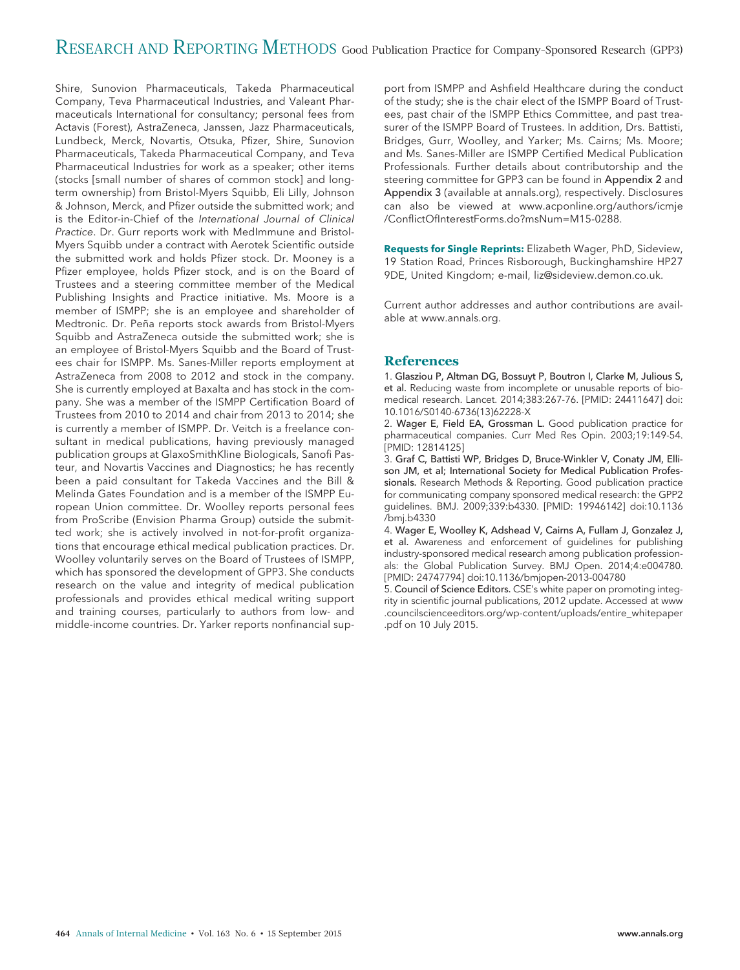## RESEARCH AND REPORTING METHODS Good Publication Practice for Company-Sponsored Research (GPP3)

Shire, Sunovion Pharmaceuticals, Takeda Pharmaceutical Company, Teva Pharmaceutical Industries, and Valeant Pharmaceuticals International for consultancy; personal fees from Actavis (Forest), AstraZeneca, Janssen, Jazz Pharmaceuticals, Lundbeck, Merck, Novartis, Otsuka, Pfizer, Shire, Sunovion Pharmaceuticals, Takeda Pharmaceutical Company, and Teva Pharmaceutical Industries for work as a speaker; other items (stocks [small number of shares of common stock] and longterm ownership) from Bristol-Myers Squibb, Eli Lilly, Johnson & Johnson, Merck, and Pfizer outside the submitted work; and is the Editor-in-Chief of the International Journal of Clinical Practice. Dr. Gurr reports work with MedImmune and Bristol-Myers Squibb under a contract with Aerotek Scientific outside the submitted work and holds Pfizer stock. Dr. Mooney is a Pfizer employee, holds Pfizer stock, and is on the Board of Trustees and a steering committee member of the Medical Publishing Insights and Practice initiative. Ms. Moore is a member of ISMPP; she is an employee and shareholder of Medtronic. Dr. Peña reports stock awards from Bristol-Myers Squibb and AstraZeneca outside the submitted work; she is an employee of Bristol-Myers Squibb and the Board of Trustees chair for ISMPP. Ms. Sanes-Miller reports employment at AstraZeneca from 2008 to 2012 and stock in the company. She is currently employed at Baxalta and has stock in the company. She was a member of the ISMPP Certification Board of Trustees from 2010 to 2014 and chair from 2013 to 2014; she is currently a member of ISMPP. Dr. Veitch is a freelance consultant in medical publications, having previously managed publication groups at GlaxoSmithKline Biologicals, Sanofi Pasteur, and Novartis Vaccines and Diagnostics; he has recently been a paid consultant for Takeda Vaccines and the Bill & Melinda Gates Foundation and is a member of the ISMPP European Union committee. Dr. Woolley reports personal fees from ProScribe (Envision Pharma Group) outside the submitted work; she is actively involved in not-for-profit organizations that encourage ethical medical publication practices. Dr. Woolley voluntarily serves on the Board of Trustees of ISMPP, which has sponsored the development of GPP3. She conducts research on the value and integrity of medical publication professionals and provides ethical medical writing support and training courses, particularly to authors from low- and middle-income countries. Dr. Yarker reports nonfinancial sup-

port from ISMPP and Ashfield Healthcare during the conduct of the study; she is the chair elect of the ISMPP Board of Trustees, past chair of the ISMPP Ethics Committee, and past treasurer of the ISMPP Board of Trustees. In addition, Drs. Battisti, Bridges, Gurr, Woolley, and Yarker; Ms. Cairns; Ms. Moore; and Ms. Sanes-Miller are ISMPP Certified Medical Publication Professionals. Further details about contributorship and the steering committee for GPP3 can be found in Appendix 2 and Appendix 3 (available at annals.org), respectively. Disclosures can also be viewed at [www.acponline.org/authors/icmje](http://www.acponline.org/authors/icmje/ConflictOfInterestForms.do?msNum=M15-0288) [/ConflictOfInterestForms.do?msNum=M15-0288.](http://www.acponline.org/authors/icmje/ConflictOfInterestForms.do?msNum=M15-0288)

**Requests for Single Reprints:** Elizabeth Wager, PhD, Sideview, 19 Station Road, Princes Risborough, Buckinghamshire HP27 9DE, United Kingdom; e-mail, [liz@sideview.demon.co.uk.](mailto:liz@sideview.demon.co.uk)

Current author addresses and author contributions are available at [www.annals.org.](http://www.annals.org)

#### **References**

1. Glasziou P, Altman DG, Bossuyt P, Boutron I, Clarke M, Julious S, et al. Reducing waste from incomplete or unusable reports of biomedical research. Lancet. 2014;383:267-76. [PMID: 24411647] doi: 10.1016/S0140-6736(13)62228-X

2. Wager E, Field EA, Grossman L. Good publication practice for pharmaceutical companies. Curr Med Res Opin. 2003;19:149-54. [PMID: 12814125]

3. Graf C, Battisti WP, Bridges D, Bruce-Winkler V, Conaty JM, Ellison JM, et al; International Society for Medical Publication Professionals. Research Methods & Reporting. Good publication practice for communicating company sponsored medical research: the GPP2 guidelines. BMJ. 2009;339:b4330. [PMID: 19946142] doi:10.1136 /bmj.b4330

4. Wager E, Woolley K, Adshead V, Cairns A, Fullam J, Gonzalez J, et al. Awareness and enforcement of guidelines for publishing industry-sponsored medical research among publication professionals: the Global Publication Survey. BMJ Open. 2014;4:e004780. [PMID: 24747794] doi:10.1136/bmjopen-2013-004780

5. Council of Science Editors. CSE's white paper on promoting integrity in scientific journal publications, 2012 update. Accessed at [www](http://www.councilscienceeditors.org/wp-content/uploads/entire_whitepaper.pdf) [.councilscienceeditors.org/wp-content/uploads/entire\\_whitepaper](http://www.councilscienceeditors.org/wp-content/uploads/entire_whitepaper.pdf) [.pdf](http://www.councilscienceeditors.org/wp-content/uploads/entire_whitepaper.pdf) on 10 July 2015.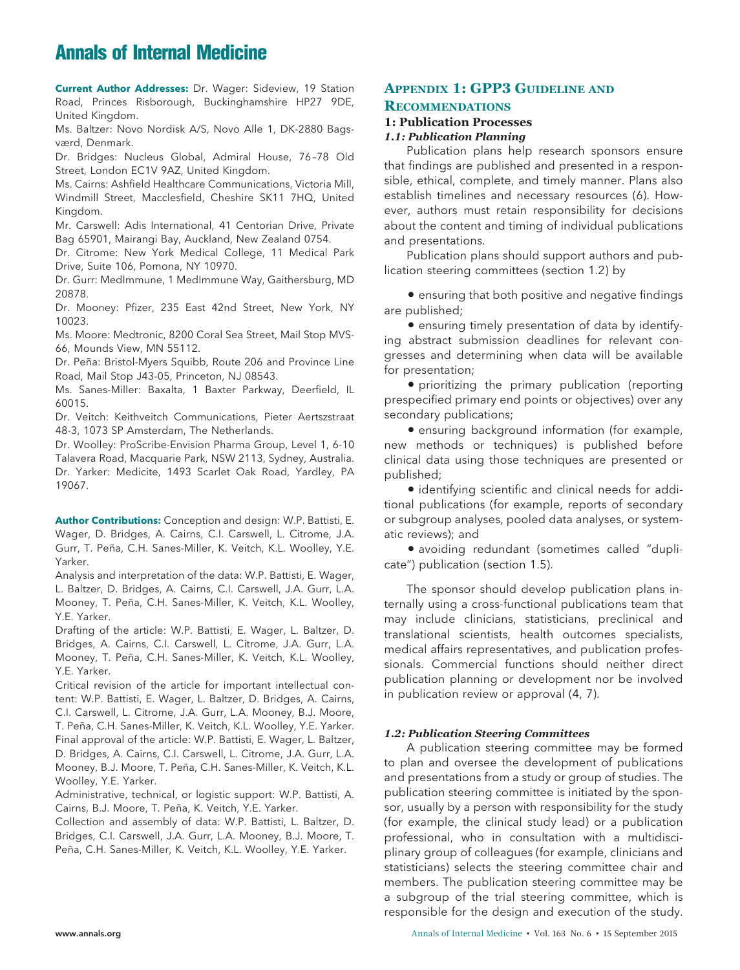## **Annals of Internal Medicine**

**Current Author Addresses:** Dr. Wager: Sideview, 19 Station Road, Princes Risborough, Buckinghamshire HP27 9DE, United Kingdom.

Ms. Baltzer: Novo Nordisk A/S, Novo Alle 1, DK-2880 Bagsværd, Denmark.

Dr. Bridges: Nucleus Global, Admiral House, 76 –78 Old Street, London EC1V 9AZ, United Kingdom.

Ms. Cairns: Ashfield Healthcare Communications, Victoria Mill, Windmill Street, Macclesfield, Cheshire SK11 7HQ, United Kingdom.

Mr. Carswell: Adis International, 41 Centorian Drive, Private Bag 65901, Mairangi Bay, Auckland, New Zealand 0754.

Dr. Citrome: New York Medical College, 11 Medical Park Drive, Suite 106, Pomona, NY 10970.

Dr. Gurr: MedImmune, 1 MedImmune Way, Gaithersburg, MD 20878.

Dr. Mooney: Pfizer, 235 East 42nd Street, New York, NY 10023.

Ms. Moore: Medtronic, 8200 Coral Sea Street, Mail Stop MVS-66, Mounds View, MN 55112.

Dr. Peña: Bristol-Myers Squibb, Route 206 and Province Line Road, Mail Stop J43-05, Princeton, NJ 08543.

Ms. Sanes-Miller: Baxalta, 1 Baxter Parkway, Deerfield, IL 60015.

Dr. Veitch: Keithveitch Communications, Pieter Aertszstraat 48-3, 1073 SP Amsterdam, The Netherlands.

Dr. Woolley: ProScribe-Envision Pharma Group, Level 1, 6-10 Talavera Road, Macquarie Park, NSW 2113, Sydney, Australia. Dr. Yarker: Medicite, 1493 Scarlet Oak Road, Yardley, PA 19067.

**Author Contributions:** Conception and design: W.P. Battisti, E. Wager, D. Bridges, A. Cairns, C.I. Carswell, L. Citrome, J.A. Gurr, T. Peña, C.H. Sanes-Miller, K. Veitch, K.L. Woolley, Y.E. Yarker.

Analysis and interpretation of the data: W.P. Battisti, E. Wager, L. Baltzer, D. Bridges, A. Cairns, C.I. Carswell, J.A. Gurr, L.A. Mooney, T. Peña, C.H. Sanes-Miller, K. Veitch, K.L. Woolley, Y.E. Yarker.

Drafting of the article: W.P. Battisti, E. Wager, L. Baltzer, D. Bridges, A. Cairns, C.I. Carswell, L. Citrome, J.A. Gurr, L.A. Mooney, T. Peña, C.H. Sanes-Miller, K. Veitch, K.L. Woolley, Y.E. Yarker.

Critical revision of the article for important intellectual content: W.P. Battisti, E. Wager, L. Baltzer, D. Bridges, A. Cairns, C.I. Carswell, L. Citrome, J.A. Gurr, L.A. Mooney, B.J. Moore, T. Peña, C.H. Sanes-Miller, K. Veitch, K.L. Woolley, Y.E. Yarker. Final approval of the article: W.P. Battisti, E. Wager, L. Baltzer, D. Bridges, A. Cairns, C.I. Carswell, L. Citrome, J.A. Gurr, L.A. Mooney, B.J. Moore, T. Peña, C.H. Sanes-Miller, K. Veitch, K.L. Woolley, Y.E. Yarker.

Administrative, technical, or logistic support: W.P. Battisti, A. Cairns, B.J. Moore, T. Peña, K. Veitch, Y.E. Yarker.

Collection and assembly of data: W.P. Battisti, L. Baltzer, D. Bridges, C.I. Carswell, J.A. Gurr, L.A. Mooney, B.J. Moore, T. Peña, C.H. Sanes-Miller, K. Veitch, K.L. Woolley, Y.E. Yarker.

### **APPENDIX 1: GPP3 GUIDELINE AND RECOMMENDATIONS**

#### **1: Publication Processes** *1.1: Publication Planning*

Publication plans help research sponsors ensure that findings are published and presented in a responsible, ethical, complete, and timely manner. Plans also establish timelines and necessary resources (6). However, authors must retain responsibility for decisions about the content and timing of individual publications and presentations.

Publication plans should support authors and publication steering committees (section 1.2) by

• ensuring that both positive and negative findings are published;

• ensuring timely presentation of data by identifying abstract submission deadlines for relevant congresses and determining when data will be available for presentation;

• prioritizing the primary publication (reporting prespecified primary end points or objectives) over any secondary publications;

 $\bullet$  ensuring background information (for example, new methods or techniques) is published before clinical data using those techniques are presented or published;

 $\bullet$  identifying scientific and clinical needs for additional publications (for example, reports of secondary or subgroup analyses, pooled data analyses, or systematic reviews); and

• avoiding redundant (sometimes called "duplicate") publication (section 1.5).

The sponsor should develop publication plans internally using a cross-functional publications team that may include clinicians, statisticians, preclinical and translational scientists, health outcomes specialists, medical affairs representatives, and publication professionals. Commercial functions should neither direct publication planning or development nor be involved in publication review or approval (4, 7).

#### *1.2: Publication Steering Committees*

A publication steering committee may be formed to plan and oversee the development of publications and presentations from a study or group of studies. The publication steering committee is initiated by the sponsor, usually by a person with responsibility for the study (for example, the clinical study lead) or a publication professional, who in consultation with a multidisciplinary group of colleagues (for example, clinicians and statisticians) selects the steering committee chair and members. The publication steering committee may be a subgroup of the trial steering committee, which is responsible for the design and execution of the study.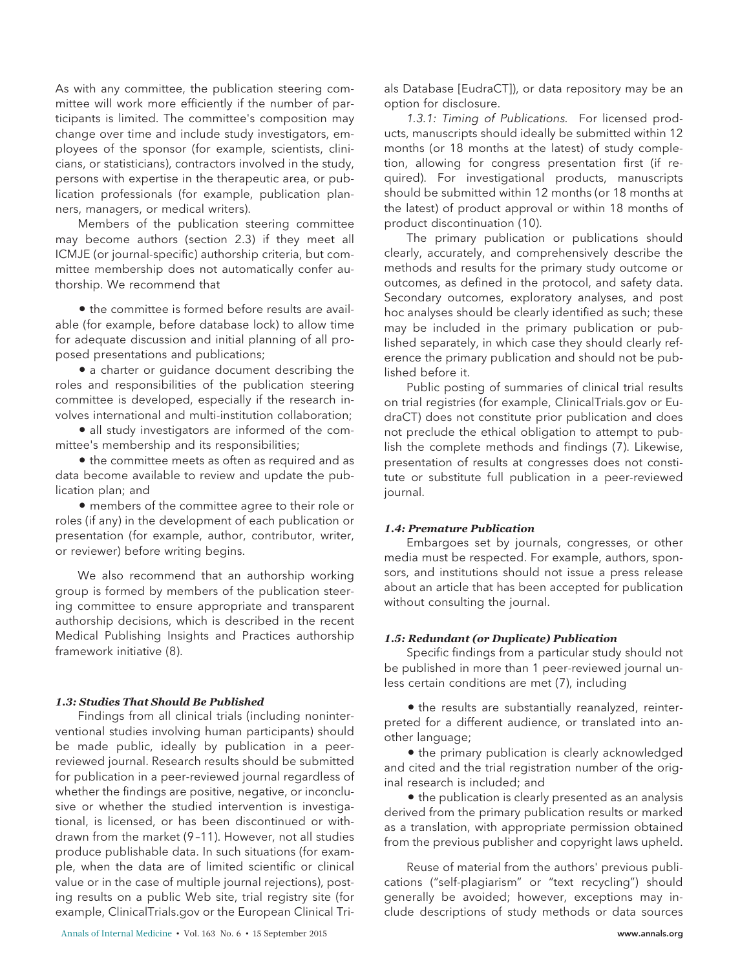As with any committee, the publication steering committee will work more efficiently if the number of participants is limited. The committee's composition may change over time and include study investigators, employees of the sponsor (for example, scientists, clinicians, or statisticians), contractors involved in the study, persons with expertise in the therapeutic area, or publication professionals (for example, publication planners, managers, or medical writers).

Members of the publication steering committee may become authors (section 2.3) if they meet all ICMJE (or journal-specific) authorship criteria, but committee membership does not automatically confer authorship. We recommend that

• the committee is formed before results are available (for example, before database lock) to allow time for adequate discussion and initial planning of all proposed presentations and publications;

• a charter or guidance document describing the roles and responsibilities of the publication steering committee is developed, especially if the research involves international and multi-institution collaboration;

• all study investigators are informed of the committee's membership and its responsibilities;

 $\bullet$  the committee meets as often as required and as data become available to review and update the publication plan; and

 $\bullet$  members of the committee agree to their role or roles (if any) in the development of each publication or presentation (for example, author, contributor, writer, or reviewer) before writing begins.

We also recommend that an authorship working group is formed by members of the publication steering committee to ensure appropriate and transparent authorship decisions, which is described in the recent Medical Publishing Insights and Practices authorship framework initiative (8).

#### *1.3: Studies That Should Be Published*

Findings from all clinical trials (including noninterventional studies involving human participants) should be made public, ideally by publication in a peerreviewed journal. Research results should be submitted for publication in a peer-reviewed journal regardless of whether the findings are positive, negative, or inconclusive or whether the studied intervention is investigational, is licensed, or has been discontinued or withdrawn from the market (9 –11). However, not all studies produce publishable data. In such situations (for example, when the data are of limited scientific or clinical value or in the case of multiple journal rejections), posting results on a public Web site, trial registry site (for example, ClinicalTrials.gov or the European Clinical Trials Database [EudraCT]), or data repository may be an option for disclosure.

1.3.1: Timing of Publications. For licensed products, manuscripts should ideally be submitted within 12 months (or 18 months at the latest) of study completion, allowing for congress presentation first (if required). For investigational products, manuscripts should be submitted within 12 months (or 18 months at the latest) of product approval or within 18 months of product discontinuation (10).

The primary publication or publications should clearly, accurately, and comprehensively describe the methods and results for the primary study outcome or outcomes, as defined in the protocol, and safety data. Secondary outcomes, exploratory analyses, and post hoc analyses should be clearly identified as such; these may be included in the primary publication or published separately, in which case they should clearly reference the primary publication and should not be published before it.

Public posting of summaries of clinical trial results on trial registries (for example, ClinicalTrials.gov or EudraCT) does not constitute prior publication and does not preclude the ethical obligation to attempt to publish the complete methods and findings (7). Likewise, presentation of results at congresses does not constitute or substitute full publication in a peer-reviewed journal.

#### *1.4: Premature Publication*

Embargoes set by journals, congresses, or other media must be respected. For example, authors, sponsors, and institutions should not issue a press release about an article that has been accepted for publication without consulting the journal.

#### *1.5: Redundant (or Duplicate) Publication*

Specific findings from a particular study should not be published in more than 1 peer-reviewed journal unless certain conditions are met (7), including

• the results are substantially reanalyzed, reinterpreted for a different audience, or translated into another language;

 $\bullet$  the primary publication is clearly acknowledged and cited and the trial registration number of the original research is included; and

• the publication is clearly presented as an analysis derived from the primary publication results or marked as a translation, with appropriate permission obtained from the previous publisher and copyright laws upheld.

Reuse of material from the authors' previous publications ("self-plagiarism" or "text recycling") should generally be avoided; however, exceptions may include descriptions of study methods or data sources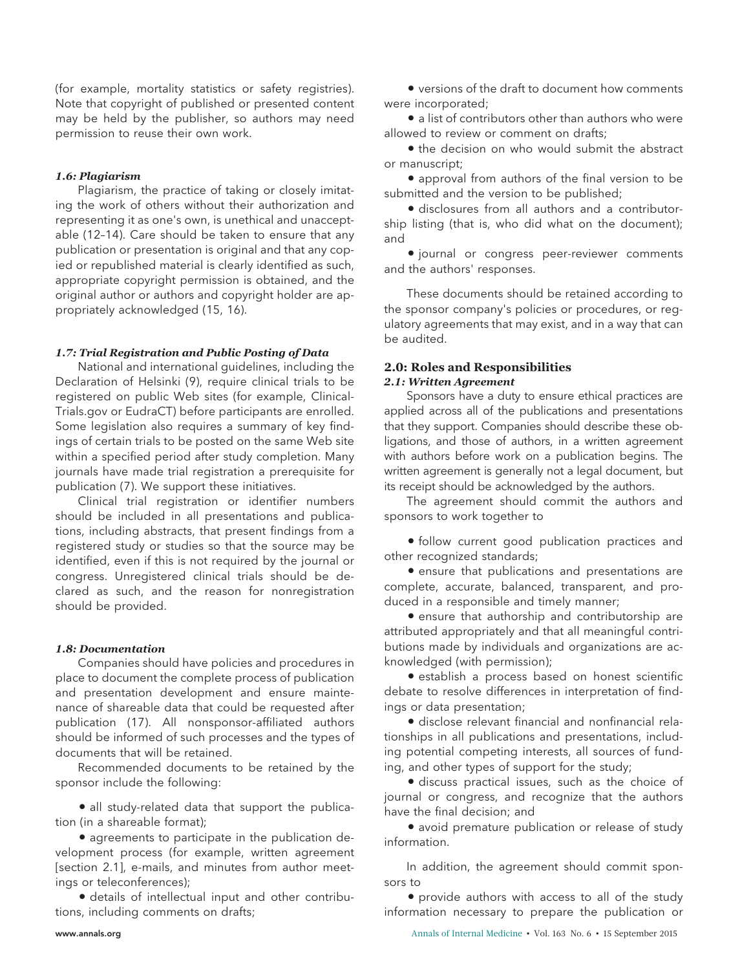(for example, mortality statistics or safety registries). Note that copyright of published or presented content may be held by the publisher, so authors may need permission to reuse their own work.

#### *1.6: Plagiarism*

Plagiarism, the practice of taking or closely imitating the work of others without their authorization and representing it as one's own, is unethical and unacceptable (12–14). Care should be taken to ensure that any publication or presentation is original and that any copied or republished material is clearly identified as such, appropriate copyright permission is obtained, and the original author or authors and copyright holder are appropriately acknowledged (15, 16).

#### *1.7: Trial Registration and Public Posting of Data*

National and international guidelines, including the Declaration of Helsinki (9), require clinical trials to be registered on public Web sites (for example, Clinical-Trials.gov or EudraCT) before participants are enrolled. Some legislation also requires a summary of key findings of certain trials to be posted on the same Web site within a specified period after study completion. Many journals have made trial registration a prerequisite for publication (7). We support these initiatives.

Clinical trial registration or identifier numbers should be included in all presentations and publications, including abstracts, that present findings from a registered study or studies so that the source may be identified, even if this is not required by the journal or congress. Unregistered clinical trials should be declared as such, and the reason for nonregistration should be provided.

#### *1.8: Documentation*

Companies should have policies and procedures in place to document the complete process of publication and presentation development and ensure maintenance of shareable data that could be requested after publication (17). All nonsponsor-affiliated authors should be informed of such processes and the types of documents that will be retained.

Recommended documents to be retained by the sponsor include the following:

• all study-related data that support the publication (in a shareable format);

• agreements to participate in the publication development process (for example, written agreement [section 2.1], e-mails, and minutes from author meetings or teleconferences);

 $\bullet$  details of intellectual input and other contributions, including comments on drafts;

• versions of the draft to document how comments were incorporated;

• a list of contributors other than authors who were allowed to review or comment on drafts;

• the decision on who would submit the abstract or manuscript;

• approval from authors of the final version to be submitted and the version to be published;

 $\bullet$  disclosures from all authors and a contributorship listing (that is, who did what on the document); and

 $\bullet$  journal or congress peer-reviewer comments and the authors' responses.

These documents should be retained according to the sponsor company's policies or procedures, or regulatory agreements that may exist, and in a way that can be audited.

## **2.0: Roles and Responsibilities**

#### *2.1: Written Agreement*

Sponsors have a duty to ensure ethical practices are applied across all of the publications and presentations that they support. Companies should describe these obligations, and those of authors, in a written agreement with authors before work on a publication begins. The written agreement is generally not a legal document, but its receipt should be acknowledged by the authors.

The agreement should commit the authors and sponsors to work together to

 $\bullet$  follow current good publication practices and other recognized standards;

 $\bullet$  ensure that publications and presentations are complete, accurate, balanced, transparent, and produced in a responsible and timely manner;

 $\bullet$  ensure that authorship and contributorship are attributed appropriately and that all meaningful contributions made by individuals and organizations are acknowledged (with permission);

• establish a process based on honest scientific debate to resolve differences in interpretation of findings or data presentation;

• disclose relevant financial and nonfinancial relationships in all publications and presentations, including potential competing interests, all sources of funding, and other types of support for the study;

 $\bullet$  discuss practical issues, such as the choice of journal or congress, and recognize that the authors have the final decision; and

• avoid premature publication or release of study information.

In addition, the agreement should commit sponsors to

• provide authors with access to all of the study information necessary to prepare the publication or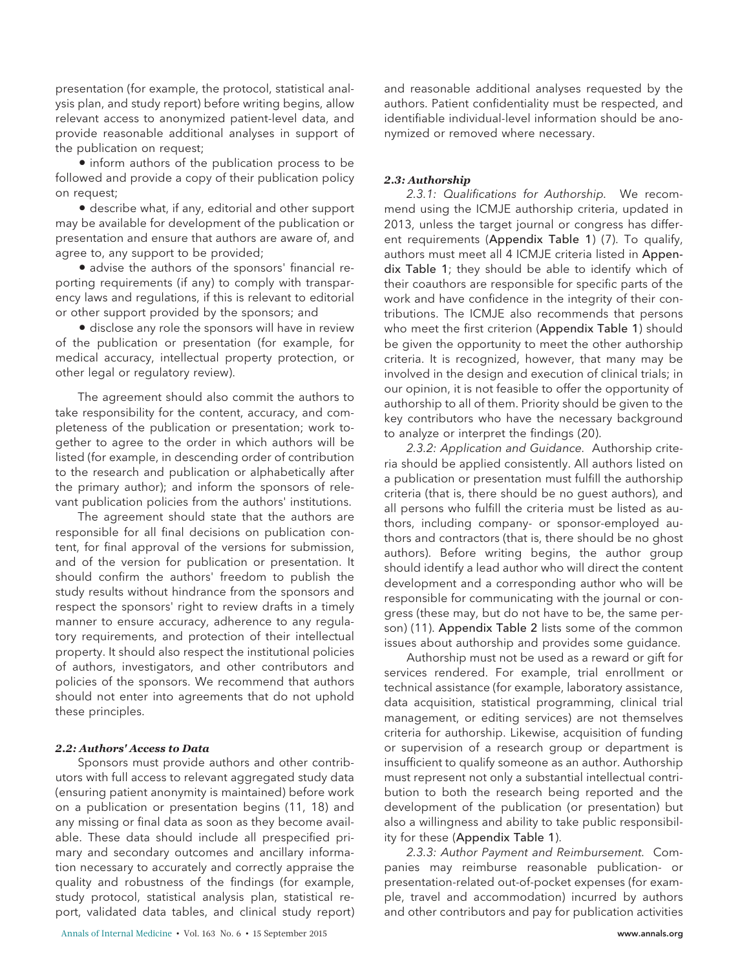presentation (for example, the protocol, statistical analysis plan, and study report) before writing begins, allow relevant access to anonymized patient-level data, and provide reasonable additional analyses in support of the publication on request;

 $\bullet$  inform authors of the publication process to be followed and provide a copy of their publication policy on request;

 $\bullet$  describe what, if any, editorial and other support may be available for development of the publication or presentation and ensure that authors are aware of, and agree to, any support to be provided;

• advise the authors of the sponsors' financial reporting requirements (if any) to comply with transparency laws and regulations, if this is relevant to editorial or other support provided by the sponsors; and

• disclose any role the sponsors will have in review of the publication or presentation (for example, for medical accuracy, intellectual property protection, or other legal or regulatory review).

The agreement should also commit the authors to take responsibility for the content, accuracy, and completeness of the publication or presentation; work together to agree to the order in which authors will be listed (for example, in descending order of contribution to the research and publication or alphabetically after the primary author); and inform the sponsors of relevant publication policies from the authors' institutions.

The agreement should state that the authors are responsible for all final decisions on publication content, for final approval of the versions for submission, and of the version for publication or presentation. It should confirm the authors' freedom to publish the study results without hindrance from the sponsors and respect the sponsors' right to review drafts in a timely manner to ensure accuracy, adherence to any regulatory requirements, and protection of their intellectual property. It should also respect the institutional policies of authors, investigators, and other contributors and policies of the sponsors. We recommend that authors should not enter into agreements that do not uphold these principles.

#### *2.2: Authors' Access to Data*

Sponsors must provide authors and other contributors with full access to relevant aggregated study data (ensuring patient anonymity is maintained) before work on a publication or presentation begins (11, 18) and any missing or final data as soon as they become available. These data should include all prespecified primary and secondary outcomes and ancillary information necessary to accurately and correctly appraise the quality and robustness of the findings (for example, study protocol, statistical analysis plan, statistical report, validated data tables, and clinical study report) and reasonable additional analyses requested by the authors. Patient confidentiality must be respected, and identifiable individual-level information should be anonymized or removed where necessary.

#### *2.3: Authorship*

2.3.1: Qualifications for Authorship. We recommend using the ICMJE authorship criteria, updated in 2013, unless the target journal or congress has different requirements (Appendix Table 1) (7). To qualify, authors must meet all 4 ICMJE criteria listed in Appendix Table 1; they should be able to identify which of their coauthors are responsible for specific parts of the work and have confidence in the integrity of their contributions. The ICMJE also recommends that persons who meet the first criterion (Appendix Table 1) should be given the opportunity to meet the other authorship criteria. It is recognized, however, that many may be involved in the design and execution of clinical trials; in our opinion, it is not feasible to offer the opportunity of authorship to all of them. Priority should be given to the key contributors who have the necessary background to analyze or interpret the findings (20).

2.3.2: Application and Guidance. Authorship criteria should be applied consistently. All authors listed on a publication or presentation must fulfill the authorship criteria (that is, there should be no guest authors), and all persons who fulfill the criteria must be listed as authors, including company- or sponsor-employed authors and contractors (that is, there should be no ghost authors). Before writing begins, the author group should identify a lead author who will direct the content development and a corresponding author who will be responsible for communicating with the journal or congress (these may, but do not have to be, the same person) (11). Appendix Table 2 lists some of the common issues about authorship and provides some guidance.

Authorship must not be used as a reward or gift for services rendered. For example, trial enrollment or technical assistance (for example, laboratory assistance, data acquisition, statistical programming, clinical trial management, or editing services) are not themselves criteria for authorship. Likewise, acquisition of funding or supervision of a research group or department is insufficient to qualify someone as an author. Authorship must represent not only a substantial intellectual contribution to both the research being reported and the development of the publication (or presentation) but also a willingness and ability to take public responsibility for these (Appendix Table 1).

2.3.3: Author Payment and Reimbursement. Companies may reimburse reasonable publication- or presentation-related out-of-pocket expenses (for example, travel and accommodation) incurred by authors and other contributors and pay for publication activities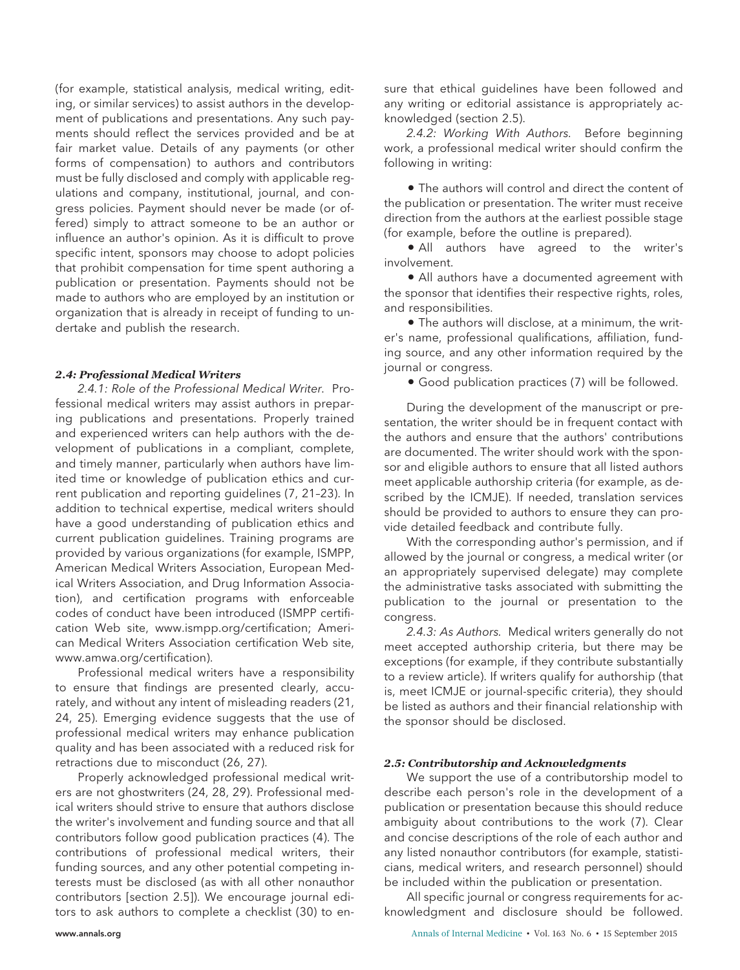(for example, statistical analysis, medical writing, editing, or similar services) to assist authors in the development of publications and presentations. Any such payments should reflect the services provided and be at fair market value. Details of any payments (or other forms of compensation) to authors and contributors must be fully disclosed and comply with applicable regulations and company, institutional, journal, and congress policies. Payment should never be made (or offered) simply to attract someone to be an author or influence an author's opinion. As it is difficult to prove specific intent, sponsors may choose to adopt policies that prohibit compensation for time spent authoring a publication or presentation. Payments should not be made to authors who are employed by an institution or organization that is already in receipt of funding to undertake and publish the research.

#### *2.4: Professional Medical Writers*

2.4.1: Role of the Professional Medical Writer. Professional medical writers may assist authors in preparing publications and presentations. Properly trained and experienced writers can help authors with the development of publications in a compliant, complete, and timely manner, particularly when authors have limited time or knowledge of publication ethics and current publication and reporting guidelines (7, 21–23). In addition to technical expertise, medical writers should have a good understanding of publication ethics and current publication guidelines. Training programs are provided by various organizations (for example, ISMPP, American Medical Writers Association, European Medical Writers Association, and Drug Information Association), and certification programs with enforceable codes of conduct have been introduced (ISMPP certification Web site, [www.ismpp.org/certification;](http://www.ismpp.org/certification;) American Medical Writers Association certification Web site, [www.amwa.org/certification\)](http://www.amwa.org/certification).

Professional medical writers have a responsibility to ensure that findings are presented clearly, accurately, and without any intent of misleading readers (21, 24, 25). Emerging evidence suggests that the use of professional medical writers may enhance publication quality and has been associated with a reduced risk for retractions due to misconduct (26, 27).

Properly acknowledged professional medical writers are not ghostwriters (24, 28, 29). Professional medical writers should strive to ensure that authors disclose the writer's involvement and funding source and that all contributors follow good publication practices (4). The contributions of professional medical writers, their funding sources, and any other potential competing interests must be disclosed (as with all other nonauthor contributors [section 2.5]). We encourage journal editors to ask authors to complete a checklist (30) to ensure that ethical guidelines have been followed and any writing or editorial assistance is appropriately acknowledged (section 2.5).

2.4.2: Working With Authors. Before beginning work, a professional medical writer should confirm the following in writing:

• The authors will control and direct the content of the publication or presentation. The writer must receive direction from the authors at the earliest possible stage (for example, before the outline is prepared).

• All authors have agreed to the writer's involvement.

• All authors have a documented agreement with the sponsor that identifies their respective rights, roles, and responsibilities.

• The authors will disclose, at a minimum, the writer's name, professional qualifications, affiliation, funding source, and any other information required by the journal or congress.

• Good publication practices (7) will be followed.

During the development of the manuscript or presentation, the writer should be in frequent contact with the authors and ensure that the authors' contributions are documented. The writer should work with the sponsor and eligible authors to ensure that all listed authors meet applicable authorship criteria (for example, as described by the ICMJE). If needed, translation services should be provided to authors to ensure they can provide detailed feedback and contribute fully.

With the corresponding author's permission, and if allowed by the journal or congress, a medical writer (or an appropriately supervised delegate) may complete the administrative tasks associated with submitting the publication to the journal or presentation to the congress.

2.4.3: As Authors. Medical writers generally do not meet accepted authorship criteria, but there may be exceptions (for example, if they contribute substantially to a review article). If writers qualify for authorship (that is, meet ICMJE or journal-specific criteria), they should be listed as authors and their financial relationship with the sponsor should be disclosed.

#### *2.5: Contributorship and Acknowledgments*

We support the use of a contributorship model to describe each person's role in the development of a publication or presentation because this should reduce ambiguity about contributions to the work (7). Clear and concise descriptions of the role of each author and any listed nonauthor contributors (for example, statisticians, medical writers, and research personnel) should be included within the publication or presentation.

All specific journal or congress requirements for acknowledgment and disclosure should be followed.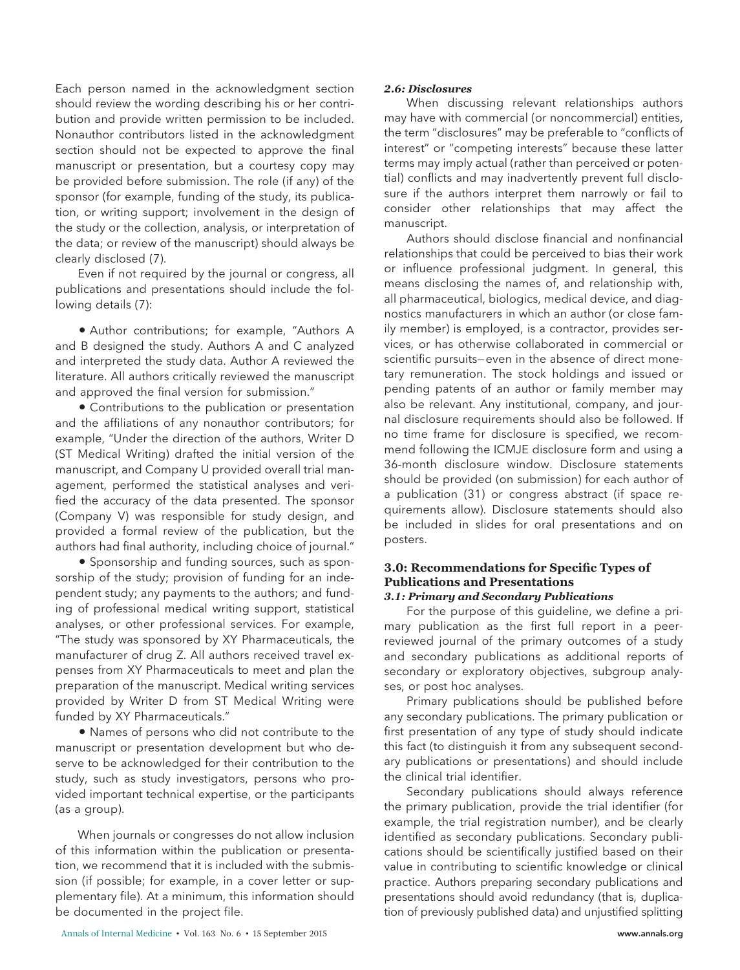Each person named in the acknowledgment section should review the wording describing his or her contribution and provide written permission to be included. Nonauthor contributors listed in the acknowledgment section should not be expected to approve the final manuscript or presentation, but a courtesy copy may be provided before submission. The role (if any) of the sponsor (for example, funding of the study, its publication, or writing support; involvement in the design of the study or the collection, analysis, or interpretation of the data; or review of the manuscript) should always be clearly disclosed (7).

Even if not required by the journal or congress, all publications and presentations should include the following details (7):

• Author contributions; for example, "Authors A and B designed the study. Authors A and C analyzed and interpreted the study data. Author A reviewed the literature. All authors critically reviewed the manuscript and approved the final version for submission."

• Contributions to the publication or presentation and the affiliations of any nonauthor contributors; for example, "Under the direction of the authors, Writer D (ST Medical Writing) drafted the initial version of the manuscript, and Company U provided overall trial management, performed the statistical analyses and verified the accuracy of the data presented. The sponsor (Company V) was responsible for study design, and provided a formal review of the publication, but the authors had final authority, including choice of journal."

• Sponsorship and funding sources, such as sponsorship of the study; provision of funding for an independent study; any payments to the authors; and funding of professional medical writing support, statistical analyses, or other professional services. For example, "The study was sponsored by XY Pharmaceuticals, the manufacturer of drug Z. All authors received travel expenses from XY Pharmaceuticals to meet and plan the preparation of the manuscript. Medical writing services provided by Writer D from ST Medical Writing were funded by XY Pharmaceuticals."

• Names of persons who did not contribute to the manuscript or presentation development but who deserve to be acknowledged for their contribution to the study, such as study investigators, persons who provided important technical expertise, or the participants (as a group).

When journals or congresses do not allow inclusion of this information within the publication or presentation, we recommend that it is included with the submission (if possible; for example, in a cover letter or supplementary file). At a minimum, this information should be documented in the project file.

#### *2.6: Disclosures*

When discussing relevant relationships authors may have with commercial (or noncommercial) entities, the term "disclosures" may be preferable to "conflicts of interest" or "competing interests" because these latter terms may imply actual (rather than perceived or potential) conflicts and may inadvertently prevent full disclosure if the authors interpret them narrowly or fail to consider other relationships that may affect the manuscript.

Authors should disclose financial and nonfinancial relationships that could be perceived to bias their work or influence professional judgment. In general, this means disclosing the names of, and relationship with, all pharmaceutical, biologics, medical device, and diagnostics manufacturers in which an author (or close family member) is employed, is a contractor, provides services, or has otherwise collaborated in commercial or scientific pursuits— even in the absence of direct monetary remuneration. The stock holdings and issued or pending patents of an author or family member may also be relevant. Any institutional, company, and journal disclosure requirements should also be followed. If no time frame for disclosure is specified, we recommend following the ICMJE disclosure form and using a 36-month disclosure window. Disclosure statements should be provided (on submission) for each author of a publication (31) or congress abstract (if space requirements allow). Disclosure statements should also be included in slides for oral presentations and on posters.

## **3.0: Recommendations for Specific Types of Publications and Presentations**

## *3.1: Primary and Secondary Publications*

For the purpose of this guideline, we define a primary publication as the first full report in a peerreviewed journal of the primary outcomes of a study and secondary publications as additional reports of secondary or exploratory objectives, subgroup analyses, or post hoc analyses.

Primary publications should be published before any secondary publications. The primary publication or first presentation of any type of study should indicate this fact (to distinguish it from any subsequent secondary publications or presentations) and should include the clinical trial identifier.

Secondary publications should always reference the primary publication, provide the trial identifier (for example, the trial registration number), and be clearly identified as secondary publications. Secondary publications should be scientifically justified based on their value in contributing to scientific knowledge or clinical practice. Authors preparing secondary publications and presentations should avoid redundancy (that is, duplication of previously published data) and unjustified splitting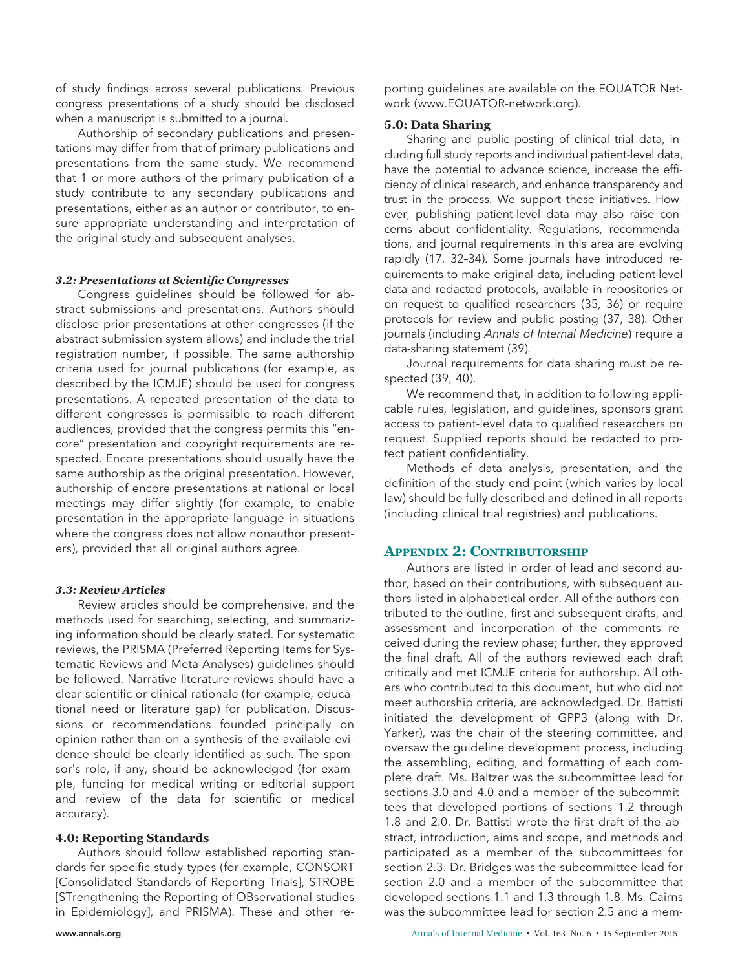of study findings across several publications. Previous congress presentations of a study should be disclosed when a manuscript is submitted to a journal.

Authorship of secondary publications and presentations may differ from that of primary publications and presentations from the same study. We recommend that 1 or more authors of the primary publication of a study contribute to any secondary publications and presentations, either as an author or contributor, to ensure appropriate understanding and interpretation of the original study and subsequent analyses.

#### *3.2: Presentations at Scientific Congresses*

Congress guidelines should be followed for abstract submissions and presentations. Authors should disclose prior presentations at other congresses (if the abstract submission system allows) and include the trial registration number, if possible. The same authorship criteria used for journal publications (for example, as described by the ICMJE) should be used for congress presentations. A repeated presentation of the data to different congresses is permissible to reach different audiences, provided that the congress permits this "encore" presentation and copyright requirements are respected. Encore presentations should usually have the same authorship as the original presentation. However, authorship of encore presentations at national or local meetings may differ slightly (for example, to enable presentation in the appropriate language in situations where the congress does not allow nonauthor presenters), provided that all original authors agree.

#### *3.3: Review Articles*

Review articles should be comprehensive, and the methods used for searching, selecting, and summarizing information should be clearly stated. For systematic reviews, the PRISMA (Preferred Reporting Items for Systematic Reviews and Meta-Analyses) guidelines should be followed. Narrative literature reviews should have a clear scientific or clinical rationale (for example, educational need or literature gap) for publication. Discussions or recommendations founded principally on opinion rather than on a synthesis of the available evidence should be clearly identified as such. The sponsor's role, if any, should be acknowledged (for example, funding for medical writing or editorial support and review of the data for scientific or medical accuracy).

#### **4.0: Reporting Standards**

Authors should follow established reporting standards for specific study types (for example, CONSORT [Consolidated Standards of Reporting Trials], STROBE [STrengthening the Reporting of OBservational studies in Epidemiology], and PRISMA). These and other reporting guidelines are available on the EQUATOR Network [\(www.EQUATOR-network.org\)](http://www.EQUATOR-network.org).

#### **5.0: Data Sharing**

Sharing and public posting of clinical trial data, including full study reports and individual patient-level data, have the potential to advance science, increase the efficiency of clinical research, and enhance transparency and trust in the process. We support these initiatives. However, publishing patient-level data may also raise concerns about confidentiality. Regulations, recommendations, and journal requirements in this area are evolving rapidly (17, 32–34). Some journals have introduced requirements to make original data, including patient-level data and redacted protocols, available in repositories or on request to qualified researchers (35, 36) or require protocols for review and public posting (37, 38). Other journals (including Annals of Internal Medicine) require a data-sharing statement (39).

Journal requirements for data sharing must be respected (39, 40).

We recommend that, in addition to following applicable rules, legislation, and guidelines, sponsors grant access to patient-level data to qualified researchers on request. Supplied reports should be redacted to protect patient confidentiality.

Methods of data analysis, presentation, and the definition of the study end point (which varies by local law) should be fully described and defined in all reports (including clinical trial registries) and publications.

## **APPENDIX 2: CONTRIBUTORSHIP**

Authors are listed in order of lead and second author, based on their contributions, with subsequent authors listed in alphabetical order. All of the authors contributed to the outline, first and subsequent drafts, and assessment and incorporation of the comments received during the review phase; further, they approved the final draft. All of the authors reviewed each draft critically and met ICMJE criteria for authorship. All others who contributed to this document, but who did not meet authorship criteria, are acknowledged. Dr. Battisti initiated the development of GPP3 (along with Dr. Yarker), was the chair of the steering committee, and oversaw the guideline development process, including the assembling, editing, and formatting of each complete draft. Ms. Baltzer was the subcommittee lead for sections 3.0 and 4.0 and a member of the subcommittees that developed portions of sections 1.2 through 1.8 and 2.0. Dr. Battisti wrote the first draft of the abstract, introduction, aims and scope, and methods and participated as a member of the subcommittees for section 2.3. Dr. Bridges was the subcommittee lead for section 2.0 and a member of the subcommittee that developed sections 1.1 and 1.3 through 1.8. Ms. Cairns was the subcommittee lead for section 2.5 and a mem-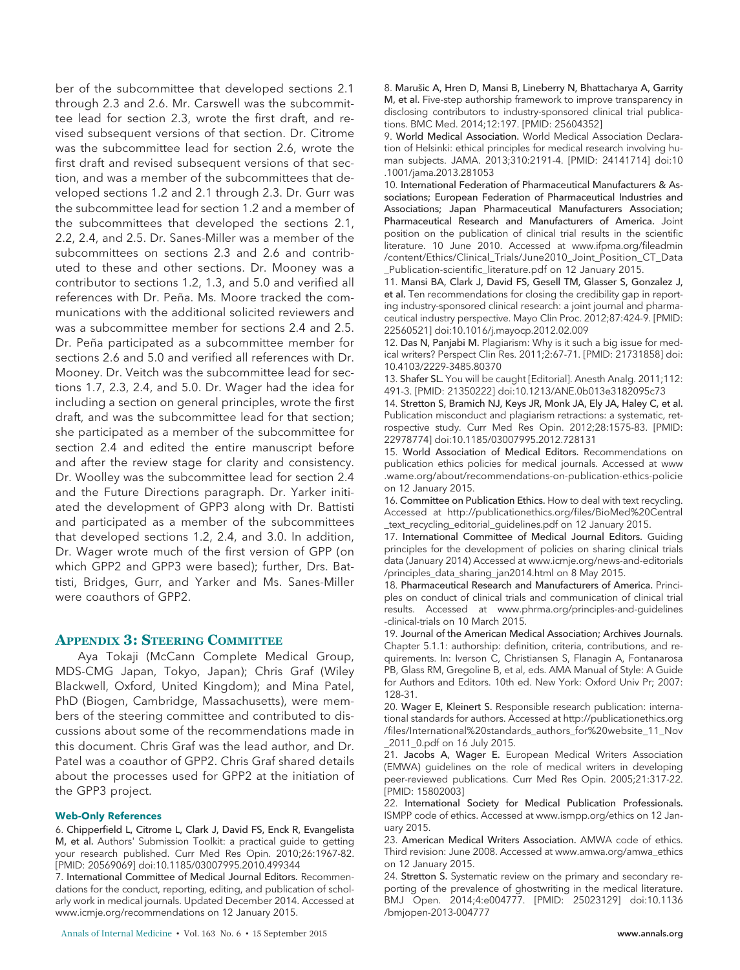ber of the subcommittee that developed sections 2.1 through 2.3 and 2.6. Mr. Carswell was the subcommittee lead for section 2.3, wrote the first draft, and revised subsequent versions of that section. Dr. Citrome was the subcommittee lead for section 2.6, wrote the first draft and revised subsequent versions of that section, and was a member of the subcommittees that developed sections 1.2 and 2.1 through 2.3. Dr. Gurr was the subcommittee lead for section 1.2 and a member of the subcommittees that developed the sections 2.1, 2.2, 2.4, and 2.5. Dr. Sanes-Miller was a member of the subcommittees on sections 2.3 and 2.6 and contributed to these and other sections. Dr. Mooney was a contributor to sections 1.2, 1.3, and 5.0 and verified all references with Dr. Peña. Ms. Moore tracked the communications with the additional solicited reviewers and was a subcommittee member for sections 2.4 and 2.5. Dr. Peña participated as a subcommittee member for sections 2.6 and 5.0 and verified all references with Dr. Mooney. Dr. Veitch was the subcommittee lead for sections 1.7, 2.3, 2.4, and 5.0. Dr. Wager had the idea for including a section on general principles, wrote the first draft, and was the subcommittee lead for that section; she participated as a member of the subcommittee for section 2.4 and edited the entire manuscript before and after the review stage for clarity and consistency. Dr. Woolley was the subcommittee lead for section 2.4 and the Future Directions paragraph. Dr. Yarker initiated the development of GPP3 along with Dr. Battisti and participated as a member of the subcommittees that developed sections 1.2, 2.4, and 3.0. In addition, Dr. Wager wrote much of the first version of GPP (on which GPP2 and GPP3 were based); further, Drs. Battisti, Bridges, Gurr, and Yarker and Ms. Sanes-Miller were coauthors of GPP2.

#### **APPENDIX 3: STEERING COMMITTEE**

Aya Tokaji (McCann Complete Medical Group, MDS-CMG Japan, Tokyo, Japan); Chris Graf (Wiley Blackwell, Oxford, United Kingdom); and Mina Patel, PhD (Biogen, Cambridge, Massachusetts), were members of the steering committee and contributed to discussions about some of the recommendations made in this document. Chris Graf was the lead author, and Dr. Patel was a coauthor of GPP2. Chris Graf shared details about the processes used for GPP2 at the initiation of the GPP3 project.

#### **Web-Only References**

6. Chipperfield L, Citrome L, Clark J, David FS, Enck R, Evangelista M, et al. Authors' Submission Toolkit: a practical guide to getting your research published. Curr Med Res Opin. 2010;26:1967-82. [PMID: 20569069] doi:10.1185/03007995.2010.499344

7. International Committee of Medical Journal Editors. Recommendations for the conduct, reporting, editing, and publication of scholarly work in medical journals. Updated December 2014. Accessed at [www.icmje.org/recommendations](http://www.icmje.org/recommendations) on 12 January 2015.

8. Marušic A, Hren D, Mansi B, Lineberry N, Bhattacharya A, Garrity M, et al. Five-step authorship framework to improve transparency in disclosing contributors to industry-sponsored clinical trial publications. BMC Med. 2014;12:197. [PMID: 25604352]

9. World Medical Association. World Medical Association Declaration of Helsinki: ethical principles for medical research involving human subjects. JAMA. 2013;310:2191-4. [PMID: 24141714] doi:10 .1001/jama.2013.281053

10. International Federation of Pharmaceutical Manufacturers & Associations; European Federation of Pharmaceutical Industries and Associations; Japan Pharmaceutical Manufacturers Association; Pharmaceutical Research and Manufacturers of America. Joint position on the publication of clinical trial results in the scientific literature. 10 June 2010. Accessed at [www.ifpma.org/fileadmin](http://www.ifpma.org/fileadmin/content/Ethics/Clinical_Trials/June2010_Joint_Position_CT_Data_Publication-scientific_literature.pdf) [/content/Ethics/Clinical\\_Trials/June2010\\_Joint\\_Position\\_CT\\_Data](http://www.ifpma.org/fileadmin/content/Ethics/Clinical_Trials/June2010_Joint_Position_CT_Data_Publication-scientific_literature.pdf) [\\_Publication-scientific\\_literature.pdf](http://www.ifpma.org/fileadmin/content/Ethics/Clinical_Trials/June2010_Joint_Position_CT_Data_Publication-scientific_literature.pdf) on 12 January 2015.

11. Mansi BA, Clark J, David FS, Gesell TM, Glasser S, Gonzalez J, et al. Ten recommendations for closing the credibility gap in reporting industry-sponsored clinical research: a joint journal and pharmaceutical industry perspective. Mayo Clin Proc. 2012;87:424-9. [PMID: 22560521] doi:10.1016/j.mayocp.2012.02.009

12. Das N, Panjabi M. Plagiarism: Why is it such a big issue for medical writers? Perspect Clin Res. 2011;2:67-71. [PMID: 21731858] doi: 10.4103/2229-3485.80370

13. Shafer SL. You will be caught [Editorial]. Anesth Analg. 2011;112: 491-3. [PMID: 21350222] doi:10.1213/ANE.0b013e3182095c73

14. Stretton S, Bramich NJ, Keys JR, Monk JA, Ely JA, Haley C, et al. Publication misconduct and plagiarism retractions: a systematic, retrospective study. Curr Med Res Opin. 2012;28:1575-83. [PMID: 22978774] doi:10.1185/03007995.2012.728131

15. World Association of Medical Editors. Recommendations on publication ethics policies for medical journals. Accessed at [www](http://www.wame.org/about/recommendations-on-publication-ethics-policie) [.wame.org/about/recommendations-on-publication-ethics-policie](http://www.wame.org/about/recommendations-on-publication-ethics-policie) on 12 January 2015.

16. Committee on Publication Ethics. How to deal with text recycling. Accessed at [http://publicationethics.org/files/BioMed%20Central](http://publicationethics.org/files/BioMed%20Central_text_recycling_editorial_guidelines.pdf) [\\_text\\_recycling\\_editorial\\_guidelines.pdf](http://publicationethics.org/files/BioMed%20Central_text_recycling_editorial_guidelines.pdf) on 12 January 2015.

17. International Committee of Medical Journal Editors. Guiding principles for the development of policies on sharing clinical trials data (January 2014) Accessed at [www.icmje.org/news-and-editorials](http://www.icmje.org/news-and-editorials/principles_data_sharing_jan2014.html) [/principles\\_data\\_sharing\\_jan2014.html](http://www.icmje.org/news-and-editorials/principles_data_sharing_jan2014.html) on 8 May 2015.

18. Pharmaceutical Research and Manufacturers of America. Principles on conduct of clinical trials and communication of clinical trial results. Accessed at [www.phrma.org/principles-and-guidelines](http://www.phrma.org/principles-and-guidelines-clinical-trials) [-clinical-trials](http://www.phrma.org/principles-and-guidelines-clinical-trials) on 10 March 2015.

19. Journal of the American Medical Association; Archives Journals. Chapter 5.1.1: authorship: definition, criteria, contributions, and requirements. In: Iverson C, Christiansen S, Flanagin A, Fontanarosa PB, Glass RM, Gregoline B, et al, eds. AMA Manual of Style: A Guide for Authors and Editors. 10th ed. New York: Oxford Univ Pr; 2007: 128-31.

20. Wager E, Kleinert S. Responsible research publication: international standards for authors. Accessed at [http://publicationethics.org](http://publicationethics.org/files/International%20standards_authors_for%20website_11_Nov_2011_0.pdf) [/files/International%20standards\\_authors\\_for%20website\\_11\\_Nov](http://publicationethics.org/files/International%20standards_authors_for%20website_11_Nov_2011_0.pdf) [\\_2011\\_0.pdf](http://publicationethics.org/files/International%20standards_authors_for%20website_11_Nov_2011_0.pdf) on 16 July 2015.

21. Jacobs A, Wager E. European Medical Writers Association (EMWA) guidelines on the role of medical writers in developing peer-reviewed publications. Curr Med Res Opin. 2005;21:317-22. [PMID: 15802003]

22. International Society for Medical Publication Professionals. ISMPP code of ethics. Accessed at [www.ismpp.org/ethics](http://www.ismpp.org/ethics) on 12 January 2015.

23. American Medical Writers Association. AMWA code of ethics. Third revision: June 2008. Accessed at [www.amwa.org/amwa\\_ethics](http://www.amwa.org/amwa_ethics) on 12 January 2015.

24. Stretton S. Systematic review on the primary and secondary reporting of the prevalence of ghostwriting in the medical literature. .<br>BMJ Open. 2014;4:e004777. [PMID: 25023129] doi:10.1136 /bmjopen-2013-004777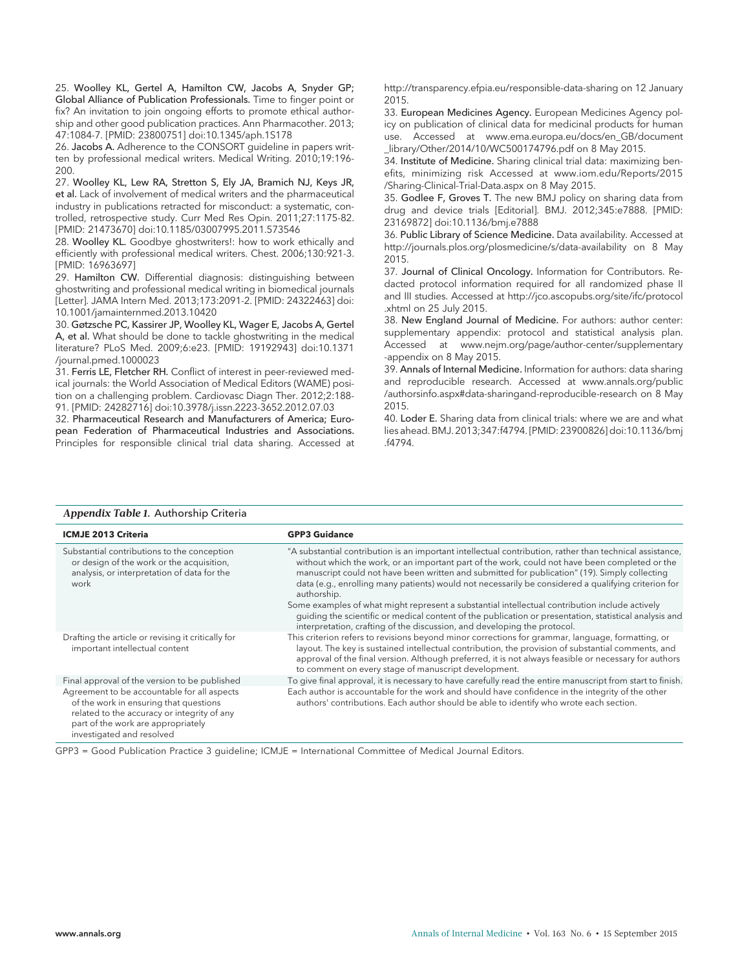25. Woolley KL, Gertel A, Hamilton CW, Jacobs A, Snyder GP; Global Alliance of Publication Professionals. Time to finger point or fix? An invitation to join ongoing efforts to promote ethical authorship and other good publication practices. Ann Pharmacother. 2013; 47:1084-7. [PMID: 23800751] doi:10.1345/aph.1S178

26. Jacobs A. Adherence to the CONSORT guideline in papers written by professional medical writers. Medical Writing. 2010;19:196- 200.

27. Woolley KL, Lew RA, Stretton S, Ely JA, Bramich NJ, Keys JR, et al. Lack of involvement of medical writers and the pharmaceutical industry in publications retracted for misconduct: a systematic, controlled, retrospective study. Curr Med Res Opin. 2011;27:1175-82. [PMID: 21473670] doi:10.1185/03007995.2011.573546

28. Woolley KL. Goodbye ghostwriters!: how to work ethically and efficiently with professional medical writers. Chest. 2006;130:921-3. [PMID: 16963697]

29. Hamilton CW. Differential diagnosis: distinguishing between ghostwriting and professional medical writing in biomedical journals [Letter]. JAMA Intern Med. 2013;173:2091-2. [PMID: 24322463] doi: 10.1001/jamainternmed.2013.10420

30. Gøtzsche PC, Kassirer JP, Woolley KL, Wager E, Jacobs A, Gertel A, et al. What should be done to tackle ghostwriting in the medical literature? PLoS Med. 2009;6:e23. [PMID: 19192943] doi:10.1371 /journal.pmed.1000023

31. Ferris LE, Fletcher RH. Conflict of interest in peer-reviewed medical journals: the World Association of Medical Editors (WAME) position on a challenging problem. Cardiovasc Diagn Ther. 2012;2:188- 91. [PMID: 24282716] doi:10.3978/j.issn.2223-3652.2012.07.03

32. Pharmaceutical Research and Manufacturers of America; European Federation of Pharmaceutical Industries and Associations. Principles for responsible clinical trial data sharing. Accessed at <http://transparency.efpia.eu/responsible-data-sharing> on 12 January 2015.

33. European Medicines Agency. European Medicines Agency policy on publication of clinical data for medicinal products for human use. Accessed at [www.ema.europa.eu/docs/en\\_GB/document](http://www.ema.europa.eu/docs/en_GB/document_library/Other/2014/10/WC500174796.pdf) [\\_library/Other/2014/10/WC500174796.pdf](http://www.ema.europa.eu/docs/en_GB/document_library/Other/2014/10/WC500174796.pdf) on 8 May 2015.

34. Institute of Medicine. Sharing clinical trial data: maximizing benefits, minimizing risk Accessed at [www.iom.edu/Reports/2015](http://www.iom.edu/Reports/2015/Sharing-Clinical-Trial-Data.aspx) [/Sharing-Clinical-Trial-Data.aspx](http://www.iom.edu/Reports/2015/Sharing-Clinical-Trial-Data.aspx) on 8 May 2015.

35. Godlee F, Groves T. The new BMJ policy on sharing data from drug and device trials [Editorial]. BMJ. 2012;345:e7888. [PMID: 23169872] doi:10.1136/bmj.e7888

36. Public Library of Science Medicine. Data availability. Accessed at <http://journals.plos.org/plosmedicine/s/data-availability> on 8 May 2015.

37. Journal of Clinical Oncology. Information for Contributors. Redacted protocol information required for all randomized phase II and III studies. Accessed at [http://jco.ascopubs.org/site/ifc/protocol](http://jco.ascopubs.org/site/ifc/protocol.xhtml) [.xhtml](http://jco.ascopubs.org/site/ifc/protocol.xhtml) on 25 July 2015.

38. New England Journal of Medicine. For authors: author center: supplementary appendix: protocol and statistical analysis plan. Accessed at [www.nejm.org/page/author-center/supplementary](http://www.nejm.org/page/author-center/supplementary-appendix) [-appendix](http://www.nejm.org/page/author-center/supplementary-appendix) on 8 May 2015.

39. Annals of Internal Medicine. Information for authors: data sharing and reproducible research. Accessed at [www.annals.org/public](http://www.annals.org/public/authorsinfo.aspx#data-sharingand-reproducible-research) [/authorsinfo.aspx#data-sharingand-reproducible-research](http://www.annals.org/public/authorsinfo.aspx#data-sharingand-reproducible-research) on 8 May 2015.

40. Loder E. Sharing data from clinical trials: where we are and what lies ahead. BMJ. 2013;347:f4794. [PMID: 23900826] doi:10.1136/bmj .f4794.

#### *Appendix Table 1.* Authorship Criteria

| <b>ICMJE 2013 Criteria</b>                                                                                                                                                                              | <b>GPP3 Guidance</b>                                                                                                                                                                                                                                                                                                                                                                                                              |
|---------------------------------------------------------------------------------------------------------------------------------------------------------------------------------------------------------|-----------------------------------------------------------------------------------------------------------------------------------------------------------------------------------------------------------------------------------------------------------------------------------------------------------------------------------------------------------------------------------------------------------------------------------|
| Substantial contributions to the conception<br>or design of the work or the acquisition,<br>analysis, or interpretation of data for the<br>work                                                         | "A substantial contribution is an important intellectual contribution, rather than technical assistance,<br>without which the work, or an important part of the work, could not have been completed or the<br>manuscript could not have been written and submitted for publication" (19). Simply collecting<br>data (e.g., enrolling many patients) would not necessarily be considered a qualifying criterion for<br>authorship. |
|                                                                                                                                                                                                         | Some examples of what might represent a substantial intellectual contribution include actively<br>quiding the scientific or medical content of the publication or presentation, statistical analysis and<br>interpretation, crafting of the discussion, and developing the protocol.                                                                                                                                              |
| Drafting the article or revising it critically for<br>important intellectual content                                                                                                                    | This criterion refers to revisions beyond minor corrections for grammar, language, formatting, or<br>layout. The key is sustained intellectual contribution, the provision of substantial comments, and<br>approval of the final version. Although preferred, it is not always feasible or necessary for authors<br>to comment on every stage of manuscript development.                                                          |
| Final approval of the version to be published                                                                                                                                                           | To give final approval, it is necessary to have carefully read the entire manuscript from start to finish.                                                                                                                                                                                                                                                                                                                        |
| Agreement to be accountable for all aspects<br>of the work in ensuring that questions<br>related to the accuracy or integrity of any<br>part of the work are appropriately<br>investigated and resolved | Each author is accountable for the work and should have confidence in the integrity of the other<br>authors' contributions. Each author should be able to identify who wrote each section.                                                                                                                                                                                                                                        |

GPP3 = Good Publication Practice 3 guideline; ICMJE = International Committee of Medical Journal Editors.